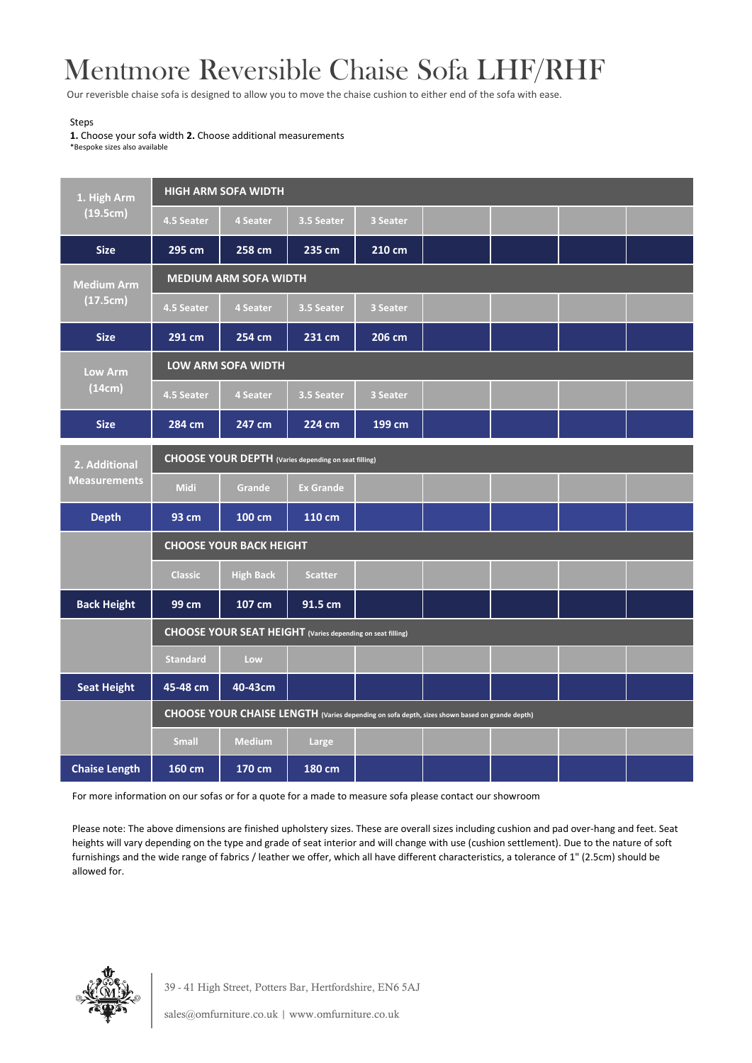## Mentmore Reversible Chaise Sofa LHF/RHF

Our reverisble chaise sofa is designed to allow you to move the chaise cushion to either end of the sofa with ease.

## Steps

**1.** Choose your sofa width **2.** Choose additional measurements \*Bespoke sizes also available

| 1. High Arm<br>(19.5cm)              | <b>HIGH ARM SOFA WIDTH</b>                                                                    |                  |                  |          |  |  |  |  |  |  |
|--------------------------------------|-----------------------------------------------------------------------------------------------|------------------|------------------|----------|--|--|--|--|--|--|
|                                      | 4.5 Seater                                                                                    | <b>4 Seater</b>  | 3.5 Seater       | 3 Seater |  |  |  |  |  |  |
| <b>Size</b>                          | 295 cm                                                                                        | 258 cm           | 235 cm           | 210 cm   |  |  |  |  |  |  |
| <b>Medium Arm</b><br>(17.5cm)        | <b>MEDIUM ARM SOFA WIDTH</b>                                                                  |                  |                  |          |  |  |  |  |  |  |
|                                      | 4.5 Seater                                                                                    | 4 Seater         | 3.5 Seater       | 3 Seater |  |  |  |  |  |  |
| <b>Size</b>                          | 291 cm                                                                                        | 254 cm           | 231 cm           | 206 cm   |  |  |  |  |  |  |
| <b>Low Arm</b><br>(14cm)             | <b>LOW ARM SOFA WIDTH</b>                                                                     |                  |                  |          |  |  |  |  |  |  |
|                                      | 4.5 Seater                                                                                    | 4 Seater         | 3.5 Seater       | 3 Seater |  |  |  |  |  |  |
| <b>Size</b>                          | 284 cm                                                                                        | 247 cm           | 224 cm           | 199 cm   |  |  |  |  |  |  |
| 2. Additional<br><b>Measurements</b> | CHOOSE YOUR DEPTH (Varies depending on seat filling)                                          |                  |                  |          |  |  |  |  |  |  |
|                                      | <b>Midi</b>                                                                                   | Grande           | <b>Ex Grande</b> |          |  |  |  |  |  |  |
| <b>Depth</b>                         | 93 cm                                                                                         | 100 cm           | 110 cm           |          |  |  |  |  |  |  |
|                                      | <b>CHOOSE YOUR BACK HEIGHT</b>                                                                |                  |                  |          |  |  |  |  |  |  |
|                                      | <b>Classic</b>                                                                                | <b>High Back</b> | <b>Scatter</b>   |          |  |  |  |  |  |  |
| <b>Back Height</b>                   | 99 cm                                                                                         | 107 cm           | 91.5 cm          |          |  |  |  |  |  |  |
|                                      | CHOOSE YOUR SEAT HEIGHT (Varies depending on seat filling)                                    |                  |                  |          |  |  |  |  |  |  |
|                                      | <b>Standard</b>                                                                               | Low              |                  |          |  |  |  |  |  |  |
| <b>Seat Height</b>                   | 45-48 cm                                                                                      | 40-43cm          |                  |          |  |  |  |  |  |  |
|                                      | CHOOSE YOUR CHAISE LENGTH (Varies depending on sofa depth, sizes shown based on grande depth) |                  |                  |          |  |  |  |  |  |  |
|                                      | <b>Small</b>                                                                                  | <b>Medium</b>    | Large            |          |  |  |  |  |  |  |
| <b>Chaise Length</b>                 | 160 cm                                                                                        | 170 cm           | 180 cm           |          |  |  |  |  |  |  |

For more information on our sofas or for a quote for a made to measure sofa please contact our showroom

Please note: The above dimensions are finished upholstery sizes. These are overall sizes including cushion and pad over-hang and feet. Seat heights will vary depending on the type and grade of seat interior and will change with use (cushion settlement). Due to the nature of soft furnishings and the wide range of fabrics / leather we offer, which all have different characteristics, a tolerance of 1" (2.5cm) should be allowed for.



39 - 41 High Street, Potters Bar, Hertfordshire, EN6 5AJ